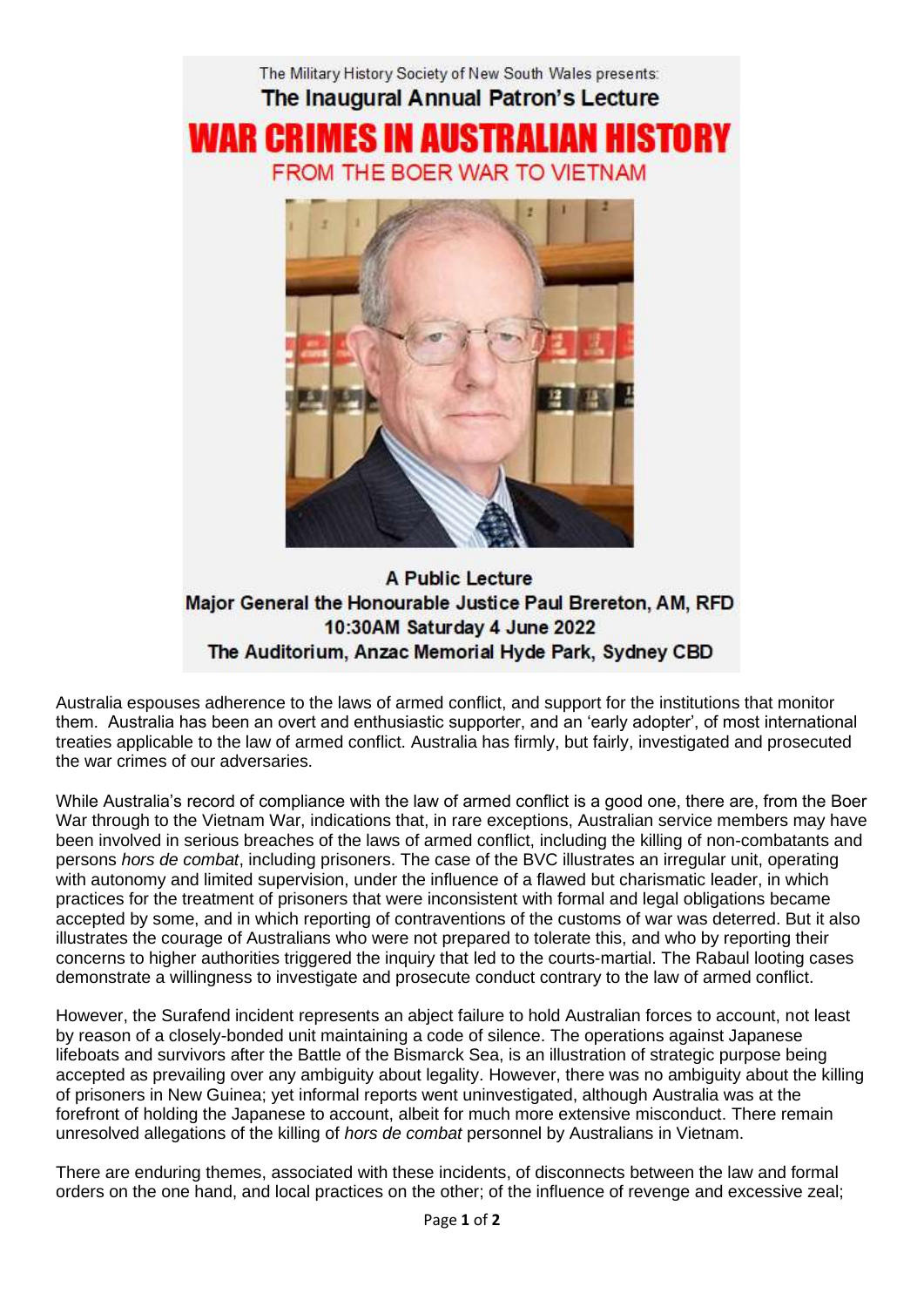

A Public Lecture Major General the Honourable Justice Paul Brereton, AM, RFD 10:30AM Saturday 4 June 2022 The Auditorium, Anzac Memorial Hyde Park, Sydney CBD

Australia espouses adherence to the laws of armed conflict, and support for the institutions that monitor them. Australia has been an overt and enthusiastic supporter, and an 'early adopter', of most international treaties applicable to the law of armed conflict. Australia has firmly, but fairly, investigated and prosecuted the war crimes of our adversaries.

While Australia's record of compliance with the law of armed conflict is a good one, there are, from the Boer War through to the Vietnam War, indications that, in rare exceptions, Australian service members may have been involved in serious breaches of the laws of armed conflict, including the killing of non-combatants and persons *hors de combat*, including prisoners. The case of the BVC illustrates an irregular unit, operating with autonomy and limited supervision, under the influence of a flawed but charismatic leader, in which practices for the treatment of prisoners that were inconsistent with formal and legal obligations became accepted by some, and in which reporting of contraventions of the customs of war was deterred. But it also illustrates the courage of Australians who were not prepared to tolerate this, and who by reporting their concerns to higher authorities triggered the inquiry that led to the courts-martial. The Rabaul looting cases demonstrate a willingness to investigate and prosecute conduct contrary to the law of armed conflict.

However, the Surafend incident represents an abject failure to hold Australian forces to account, not least by reason of a closely-bonded unit maintaining a code of silence. The operations against Japanese lifeboats and survivors after the Battle of the Bismarck Sea, is an illustration of strategic purpose being accepted as prevailing over any ambiguity about legality. However, there was no ambiguity about the killing of prisoners in New Guinea; yet informal reports went uninvestigated, although Australia was at the forefront of holding the Japanese to account, albeit for much more extensive misconduct. There remain unresolved allegations of the killing of *hors de combat* personnel by Australians in Vietnam.

There are enduring themes, associated with these incidents, of disconnects between the law and formal orders on the one hand, and local practices on the other; of the influence of revenge and excessive zeal;